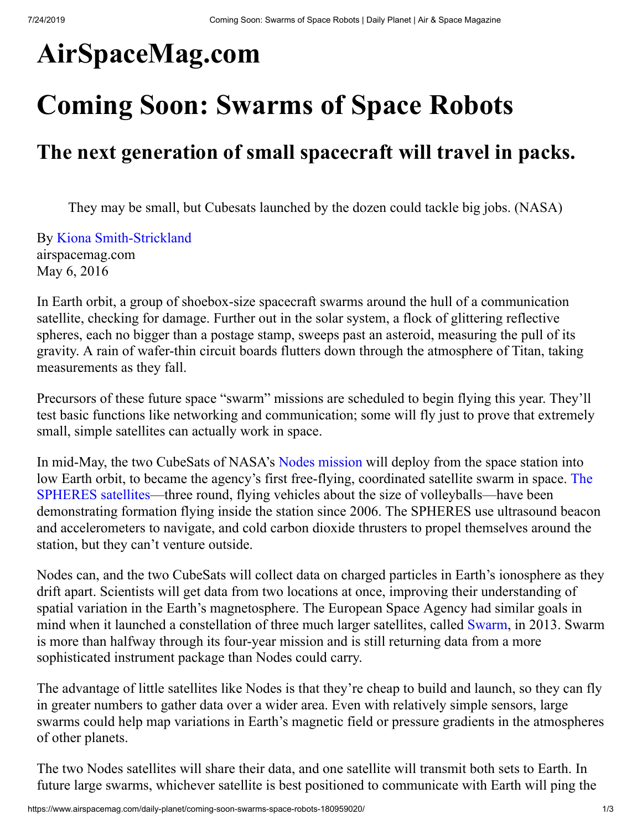# **AirSpaceMag.com**

# **Coming Soon: Swarms of Space Robots**

## **The next generation of small spacecraft will travel in packs.**

They may be small, but Cubesats launched by the dozen could tackle big jobs. (NASA)

By [Kiona Smith-Strickland](https://www.airspacemag.com/author/kiona-smith-strickland/) airspacemag.com May 6, 2016

In Earth orbit, a group of shoebox-size spacecraft swarms around the hull of a communication satellite, checking for damage. Further out in the solar system, a flock of glittering reflective spheres, each no bigger than a postage stamp, sweeps past an asteroid, measuring the pull of its gravity. A rain of wafer-thin circuit boards flutters down through the atmosphere of Titan, taking measurements as they fall.

Precursors of these future space "swarm" missions are scheduled to begin flying this year. They'll test basic functions like networking and communication; some will fly just to prove that extremely small, simple satellites can actually work in space.

In mid-May, the two CubeSats of NASA's [Nodes mission](http://www.nasa.gov/centers/ames/engineering/projects/nodes.html) will deploy from the space station into [low Earth orbit, to became the agency's first free-flying, coordinated satellite swarm in space. The](https://www.nasa.gov/spheres/home/) SPHERES satellites—three round, flying vehicles about the size of volleyballs—have been demonstrating formation flying inside the station since 2006. The SPHERES use ultrasound beacon and accelerometers to navigate, and cold carbon dioxide thrusters to propel themselves around the station, but they can't venture outside.

Nodes can, and the two CubeSats will collect data on charged particles in Earth's ionosphere as they drift apart. Scientists will get data from two locations at once, improving their understanding of spatial variation in the Earth's magnetosphere. The European Space Agency had similar goals in mind when it launched a constellation of three much larger satellites, called [Swarm](http://www.esa.int/Our_Activities/Observing_the_Earth/The_Living_Planet_Programme/Earth_Explorers/Swarm/ESA_s_magnetic_field_mission_Swarm), in 2013. Swarm is more than halfway through its four-year mission and is still returning data from a more sophisticated instrument package than Nodes could carry.

The advantage of little satellites like Nodes is that they're cheap to build and launch, so they can fly in greater numbers to gather data over a wider area. Even with relatively simple sensors, large swarms could help map variations in Earth's magnetic field or pressure gradients in the atmospheres of other planets.

The two Nodes satellites will share their data, and one satellite will transmit both sets to Earth. In future large swarms, whichever satellite is best positioned to communicate with Earth will ping the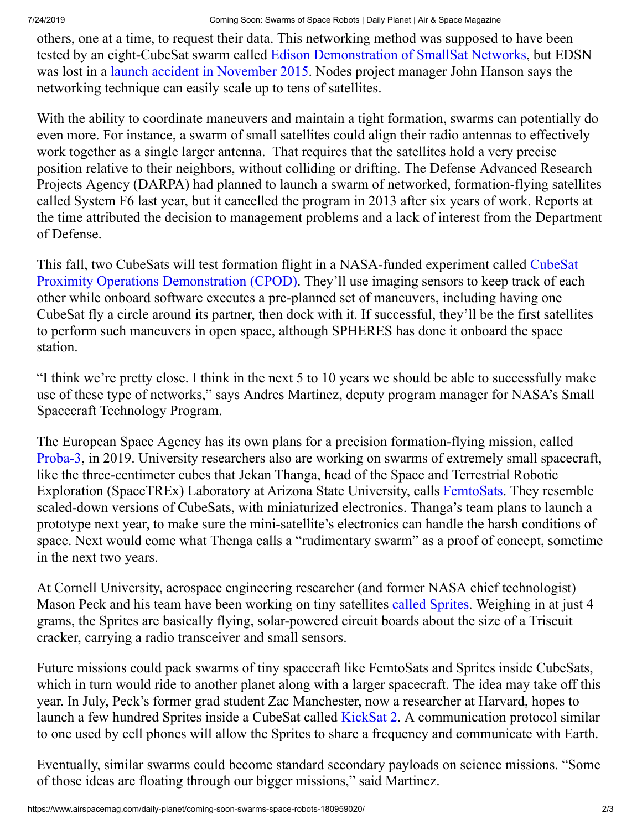### 7/24/2019 Coming Soon: Swarms of Space Robots | Daily Planet | Air & Space Magazine

others, one at a time, to request their data. This networking method was supposed to have been tested by an eight-CubeSat swarm called [Edison Demonstration of SmallSat Networks](http://www.nasa.gov/directorates/spacetech/small_spacecraft/edsn.html), but EDSN was lost in a [launch accident in November 2015](https://spaceflightnow.com/tag/ors-4/). Nodes project manager John Hanson says the networking technique can easily scale up to tens of satellites.

With the ability to coordinate maneuvers and maintain a tight formation, swarms can potentially do even more. For instance, a swarm of small satellites could align their radio antennas to effectively work together as a single larger antenna. That requires that the satellites hold a very precise position relative to their neighbors, without colliding or drifting. The Defense Advanced Research Projects Agency (DARPA) had planned to launch a swarm of networked, formation-flying satellites called System F6 last year, but it cancelled the program in 2013 after six years of work. Reports at the time attributed the decision to management problems and a lack of interest from the Department of Defense.

This fall, two CubeSats will test formation flight in a NASA-funded experiment called CubeSat [Proximity Operations Demonstration \(CPOD\). They'll use imaging sensors to keep track of each](http://www.nasa.gov/directorates/spacetech/small_spacecraft/cpod_project.html) other while onboard software executes a pre-planned set of maneuvers, including having one CubeSat fly a circle around its partner, then dock with it. If successful, they'll be the first satellites to perform such maneuvers in open space, although SPHERES has done it onboard the space station.

"I think we're pretty close. I think in the next 5 to 10 years we should be able to successfully make use of these type of networks," says Andres Martinez, deputy program manager for NASA's Small Spacecraft Technology Program.

The European Space Agency has its own plans for a precision formation-flying mission, called [Proba-3,](http://www.esa.int/spaceinimages/Images/2016/05/Models_of_Proba-3_designs) in 2019. University researchers also are working on swarms of extremely small spacecraft, like the three-centimeter cubes that Jekan Thanga, head of the Space and Terrestrial Robotic Exploration (SpaceTREx) Laboratory at Arizona State University, calls [FemtoSats.](http://suncube.asu.edu/) They resemble scaled-down versions of CubeSats, with miniaturized electronics. Thanga's team plans to launch a prototype next year, to make sure the mini-satellite's electronics can handle the harsh conditions of space. Next would come what Thenga calls a "rudimentary swarm" as a proof of concept, sometime in the next two years.

At Cornell University, aerospace engineering researcher (and former NASA chief technologist) Mason Peck and his team have been working on tiny satellites [called Sprites.](http://www.spacecraftresearch.com/blog/?page_id=260) Weighing in at just 4 grams, the Sprites are basically flying, solar-powered circuit boards about the size of a Triscuit cracker, carrying a radio transceiver and small sensors.

Future missions could pack swarms of tiny spacecraft like FemtoSats and Sprites inside CubeSats, which in turn would ride to another planet along with a larger spacecraft. The idea may take off this year. In July, Peck's former grad student Zac Manchester, now a researcher at Harvard, hopes to launch a few hundred Sprites inside a CubeSat called [KickSat 2](https://www.kickstarter.com/projects/zacinaction/kicksat-your-personal-spacecraft-in-space). A communication protocol similar to one used by cell phones will allow the Sprites to share a frequency and communicate with Earth.

Eventually, similar swarms could become standard secondary payloads on science missions. "Some of those ideas are floating through our bigger missions," said Martinez.